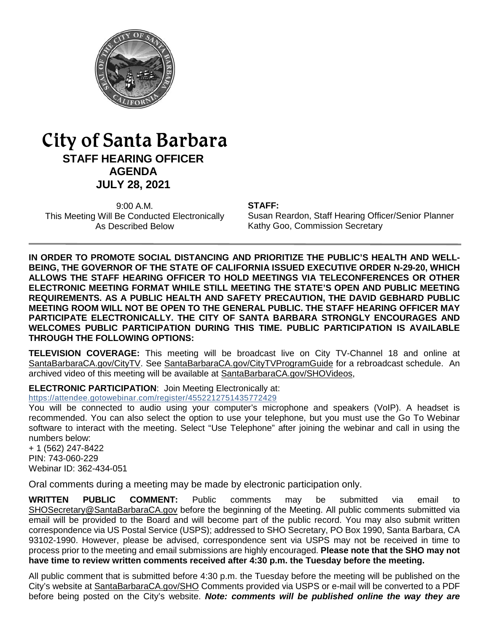

# City of Santa Barbara **STAFF HEARING OFFICER AGENDA JULY 28, 2021**

9:00 A.M. This Meeting Will Be Conducted Electronically As Described Below

#### **STAFF:**

Susan Reardon, Staff Hearing Officer/Senior Planner Kathy Goo, Commission Secretary

**IN ORDER TO PROMOTE SOCIAL DISTANCING AND PRIORITIZE THE PUBLIC'S HEALTH AND WELL-BEING, THE GOVERNOR OF THE STATE OF CALIFORNIA ISSUED EXECUTIVE ORDER N-29-20, WHICH ALLOWS THE STAFF HEARING OFFICER TO HOLD MEETINGS VIA TELECONFERENCES OR OTHER ELECTRONIC MEETING FORMAT WHILE STILL MEETING THE STATE'S OPEN AND PUBLIC MEETING REQUIREMENTS. AS A PUBLIC HEALTH AND SAFETY PRECAUTION, THE DAVID GEBHARD PUBLIC MEETING ROOM WILL NOT BE OPEN TO THE GENERAL PUBLIC. THE STAFF HEARING OFFICER MAY PARTICIPATE ELECTRONICALLY. THE CITY OF SANTA BARBARA STRONGLY ENCOURAGES AND WELCOMES PUBLIC PARTICIPATION DURING THIS TIME. PUBLIC PARTICIPATION IS AVAILABLE THROUGH THE FOLLOWING OPTIONS:**

**TELEVISION COVERAGE:** This meeting will be broadcast live on City TV-Channel 18 and online at [SantaBarbaraCA.gov/CityTV.](http://www.santabarbaraca.gov/CityTV) See [SantaBarbaraCA.gov/CityTVProgramGuide](http://www.santabarbaraca.gov/CityTVProgramGuide) for a rebroadcast schedule. An archived video of this meeting will be available at [SantaBarbaraCA.gov/SHOVideos,](http://www.santabarbaraca.gov/SHOVideos)

**ELECTRONIC PARTICIPATION**: Join Meeting Electronically at:

<https://attendee.gotowebinar.com/register/4552212751435772429>

You will be connected to audio using your computer's microphone and speakers (VoIP). A headset is recommended. You can also select the option to use your telephone, but you must use the Go To Webinar software to interact with the meeting. Select "Use Telephone" after joining the webinar and call in using the numbers below:

+ 1 (562) 247-8422 PIN: 743-060-229 Webinar ID: 362-434-051

Oral comments during a meeting may be made by electronic participation only.

**WRITTEN PUBLIC COMMENT:** Public comments may be submitted via email to [SHOSecretary@SantaBarbaraCA.gov](mailto:SHOSecretary@SantaBarbaraCA.gov) before the beginning of the Meeting. All public comments submitted via email will be provided to the Board and will become part of the public record. You may also submit written correspondence via US Postal Service (USPS); addressed to SHO Secretary, PO Box 1990, Santa Barbara, CA 93102-1990. However, please be advised, correspondence sent via USPS may not be received in time to process prior to the meeting and email submissions are highly encouraged. **Please note that the SHO may not have time to review written comments received after 4:30 p.m. the Tuesday before the meeting.**

All public comment that is submitted before 4:30 p.m. the Tuesday before the meeting will be published on the City's website at [SantaBarbaraCA.gov/SHO](http://www.santabarbaraca.gov/SHO) Comments provided via USPS or e-mail will be converted to a PDF before being posted on the City's website. *Note: comments will be published online the way they are*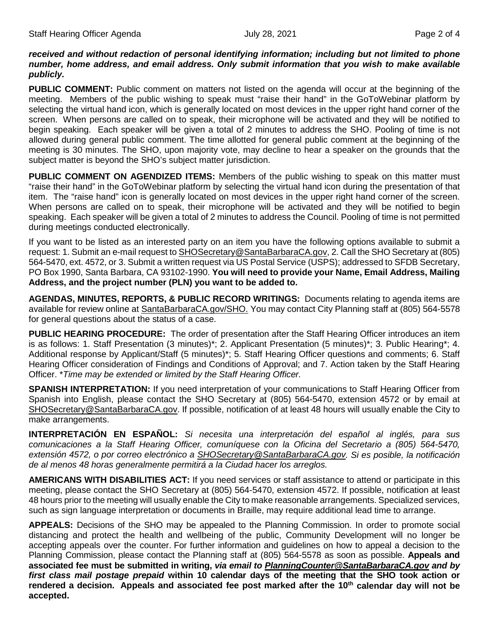#### *received and without redaction of personal identifying information; including but not limited to phone number, home address, and email address. Only submit information that you wish to make available publicly.*

**PUBLIC COMMENT:** Public comment on matters not listed on the agenda will occur at the beginning of the meeting. Members of the public wishing to speak must "raise their hand" in the GoToWebinar platform by selecting the virtual hand icon, which is generally located on most devices in the upper right hand corner of the screen. When persons are called on to speak, their microphone will be activated and they will be notified to begin speaking. Each speaker will be given a total of 2 minutes to address the SHO. Pooling of time is not allowed during general public comment. The time allotted for general public comment at the beginning of the meeting is 30 minutes. The SHO, upon majority vote, may decline to hear a speaker on the grounds that the subject matter is beyond the SHO's subject matter jurisdiction.

**PUBLIC COMMENT ON AGENDIZED ITEMS:** Members of the public wishing to speak on this matter must "raise their hand" in the GoToWebinar platform by selecting the virtual hand icon during the presentation of that item. The "raise hand" icon is generally located on most devices in the upper right hand corner of the screen. When persons are called on to speak, their microphone will be activated and they will be notified to begin speaking. Each speaker will be given a total of 2 minutes to address the Council. Pooling of time is not permitted during meetings conducted electronically.

If you want to be listed as an interested party on an item you have the following options available to submit a request: 1. Submit an e-mail request t[o SHOSecretary@SantaBarbaraCA.gov,](mailto:SHOSecretary@SantaBarbaraCA.gov) 2. Call the SHO Secretary at (805) 564-5470, ext. 4572, or 3. Submit a written request via US Postal Service (USPS); addressed to SFDB Secretary, PO Box 1990, Santa Barbara, CA 93102-1990. **You will need to provide your Name, Email Address, Mailing Address, and the project number (PLN) you want to be added to.**

**AGENDAS, MINUTES, REPORTS, & PUBLIC RECORD WRITINGS:** Documents relating to agenda items are available for review online at [SantaBarbaraCA.gov/SHO.](http://www.santabarbaraca.gov/SHO) You may contact City Planning staff at (805) 564-5578 for general questions about the status of a case.

**PUBLIC HEARING PROCEDURE:** The order of presentation after the Staff Hearing Officer introduces an item is as follows: 1. Staff Presentation (3 minutes)\*; 2. Applicant Presentation (5 minutes)\*; 3. Public Hearing\*; 4. Additional response by Applicant/Staff (5 minutes)\*; 5. Staff Hearing Officer questions and comments; 6. Staff Hearing Officer consideration of Findings and Conditions of Approval; and 7. Action taken by the Staff Hearing Officer. \**Time may be extended or limited by the Staff Hearing Officer.*

**SPANISH INTERPRETATION:** If you need interpretation of your communications to Staff Hearing Officer from Spanish into English, please contact the SHO Secretary at (805) 564-5470, extension 4572 or by email at [SHOSecretary@SantaBarbaraCA.gov.](mailto:SHOSecretary@SantaBarbaraCA.gov) If possible, notification of at least 48 hours will usually enable the City to make arrangements.

**INTERPRETACIÓN EN ESPAÑOL:** *Si necesita una interpretación del español al inglés, para sus comunicaciones a la Staff Hearing Officer, comuníquese con la Oficina del Secretario a (805) 564-5470, extensión 4572, o por correo electrónico a [SHOSecretary@SantaBarbaraCA.gov.](mailto:SHOSecretary@SantaBarbaraCA.gov) Si es posible, la notificación de al menos 48 horas generalmente permitirá a la Ciudad hacer los arreglos.*

**AMERICANS WITH DISABILITIES ACT:** If you need services or staff assistance to attend or participate in this meeting, please contact the SHO Secretary at (805) 564-5470, extension 4572. If possible, notification at least 48 hours prior to the meeting will usually enable the City to make reasonable arrangements. Specialized services, such as sign language interpretation or documents in Braille, may require additional lead time to arrange.

**APPEALS:** Decisions of the SHO may be appealed to the Planning Commission. In order to promote social distancing and protect the health and wellbeing of the public, Community Development will no longer be accepting appeals over the counter. For further information and guidelines on how to appeal a decision to the Planning Commission, please contact the Planning staff at (805) 564-5578 as soon as possible. **Appeals and associated fee must be submitted in writing,** *via email to [PlanningCounter@SantaBarbaraCA.gov](mailto:PlanningCounter@SantaBarbaraCA.gov) and by first class mail postage prepaid* **within 10 calendar days of the meeting that the SHO took action or**  rendered a decision. Appeals and associated fee post marked after the 10<sup>th</sup> calendar day will not be **accepted.**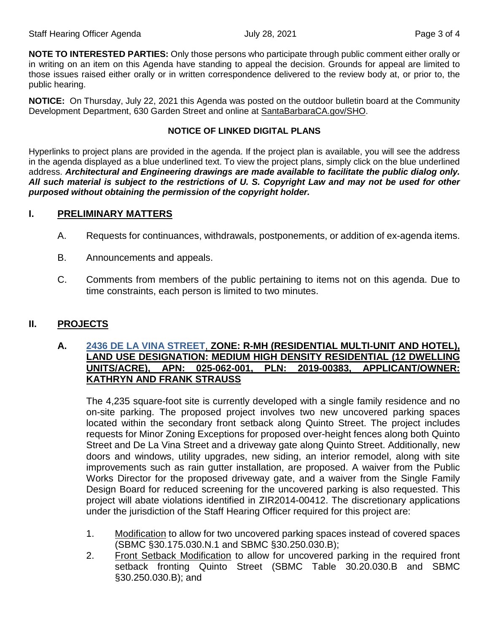**NOTE TO INTERESTED PARTIES:** Only those persons who participate through public comment either orally or in writing on an item on this Agenda have standing to appeal the decision. Grounds for appeal are limited to those issues raised either orally or in written correspondence delivered to the review body at, or prior to, the public hearing.

**NOTICE:** On Thursday, July 22, 2021 this Agenda was posted on the outdoor bulletin board at the Community Development Department, 630 Garden Street and online at [SantaBarbaraCA.gov/SHO.](http://www.santabarbaraca.gov/SHO)

#### **NOTICE OF LINKED DIGITAL PLANS**

Hyperlinks to project plans are provided in the agenda. If the project plan is available, you will see the address in the agenda displayed as a blue underlined text. To view the project plans, simply click on the blue underlined address. *Architectural and Engineering drawings are made available to facilitate the public dialog only. All such material is subject to the restrictions of U. S. Copyright Law and may not be used for other purposed without obtaining the permission of the copyright holder.*

## **I. PRELIMINARY MATTERS**

- A. Requests for continuances, withdrawals, postponements, or addition of ex-agenda items.
- B. Announcements and appeals.
- C. Comments from members of the public pertaining to items not on this agenda. Due to time constraints, each person is limited to two minutes.

## **II. PROJECTS**

#### **A. [2436 DE LA VINA STREET](https://www.santabarbaraca.gov/civicax/filebank/blobdload.aspx?BlobID=238092)**, **ZONE: R-MH (RESIDENTIAL MULTI-UNIT AND HOTEL), LAND USE DESIGNATION: MEDIUM HIGH DENSITY RESIDENTIAL (12 DWELLING UNITS/ACRE), APN: 025-062-001, PLN: 2019-00383, APPLICANT/OWNER: KATHRYN AND FRANK STRAUSS**

The 4,235 square-foot site is currently developed with a single family residence and no on-site parking. The proposed project involves two new uncovered parking spaces located within the secondary front setback along Quinto Street. The project includes requests for Minor Zoning Exceptions for proposed over-height fences along both Quinto Street and De La Vina Street and a driveway gate along Quinto Street. Additionally, new doors and windows, utility upgrades, new siding, an interior remodel, along with site improvements such as rain gutter installation, are proposed. A waiver from the Public Works Director for the proposed driveway gate, and a waiver from the Single Family Design Board for reduced screening for the uncovered parking is also requested. This project will abate violations identified in ZIR2014-00412. The discretionary applications under the jurisdiction of the Staff Hearing Officer required for this project are:

- 1. Modification to allow for two uncovered parking spaces instead of covered spaces (SBMC §30.175.030.N.1 and SBMC §30.250.030.B);
- 2. Front Setback Modification to allow for uncovered parking in the required front setback fronting Quinto Street (SBMC Table 30.20.030.B and SBMC §30.250.030.B); and